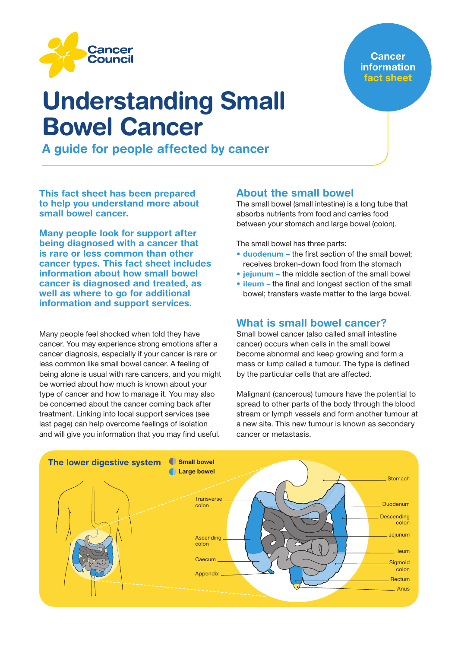

## **Cancer** information fact sheet

# Understanding Small Bowel Cancer

A guide for people affected by cancer

This fact sheet has been prepared to help you understand more about small bowel cancer.

Many people look for support after being diagnosed with a cancer that is rare or less common than other cancer types. This fact sheet includes information about how small bowel cancer is diagnosed and treated, as well as where to go for additional information and support services.

Many people feel shocked when told they have cancer. You may experience strong emotions after a cancer diagnosis, especially if your cancer is rare or less common like small bowel cancer. A feeling of being alone is usual with rare cancers, and you might be worried about how much is known about your type of cancer and how to manage it. You may also be concerned about the cancer coming back after treatment. Linking into local support services (see last page) can help overcome feelings of isolation and will give you information that you may find useful.

## About the small bowel

The small bowel (small intestine) is a long tube that absorbs nutrients from food and carries food between your stomach and large bowel (colon).

The small bowel has three parts:

- **duodenum** the first section of the small bowel: receives broken-down food from the stomach
- *jejunum* the middle section of the small bowel
- ileum the final and longest section of the small bowel; transfers waste matter to the large bowel.

## What is small bowel cancer?

Small bowel cancer (also called small intestine cancer) occurs when cells in the small bowel become abnormal and keep growing and form a mass or lump called a tumour. The type is defined by the particular cells that are affected.

Malignant (cancerous) tumours have the potential to spread to other parts of the body through the blood stream or lymph vessels and form another tumour at a new site. This new tumour is known as secondary cancer or metastasis.

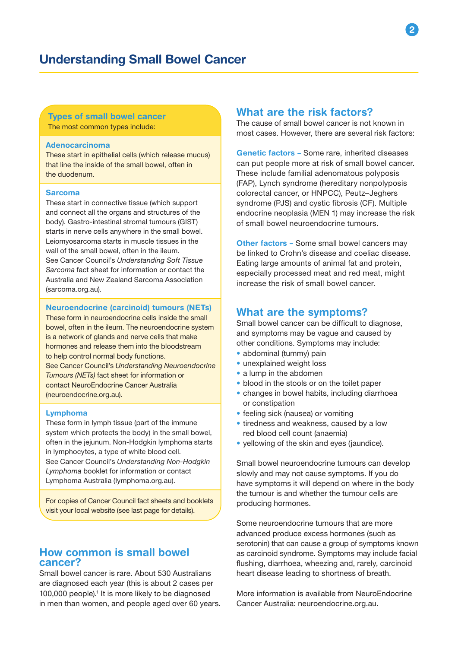#### Types of small bowel cancer The most common types include:

#### Adenocarcinoma

These start in epithelial cells (which release mucus) that line the inside of the small bowel, often in the duodenum.

#### Sarcoma

These start in connective tissue (which support and connect all the organs and structures of the body). Gastro-intestinal stromal tumours (GIST) starts in nerve cells anywhere in the small bowel. Leiomyosarcoma starts in muscle tissues in the wall of the small bowel, often in the ileum. See Cancer Council's *Understanding Soft Tissue Sarcoma* fact sheet for information or contact the Australia and New Zealand Sarcoma Association (sarcoma.org.au).

#### Neuroendocrine (carcinoid) tumours (NETs)

These form in neuroendocrine cells inside the small bowel, often in the ileum. The neuroendocrine system is a network of glands and nerve cells that make hormones and release them into the bloodstream to help control normal body functions. See Cancer Council's *Understanding Neuroendocrine Tumours (NETs)* fact sheet for information or contact NeuroEndocrine Cancer Australia (neuroendocrine.org.au).

#### Lymphoma

These form in lymph tissue (part of the immune system which protects the body) in the small bowel, often in the jejunum. Non-Hodgkin lymphoma starts in lymphocytes, a type of white blood cell. See Cancer Council's *Understanding Non-Hodgkin Lymphoma* booklet for information or contact Lymphoma Australia (lymphoma.org.au).

For copies of Cancer Council fact sheets and booklets visit your local website (see last page for details).

## How common is small bowel cancer?

Small bowel cancer is rare. About 530 Australians are diagnosed each year (this is about 2 cases per 100,000 people).<sup>1</sup> It is more likely to be diagnosed in men than women, and people aged over 60 years.

## What are the risk factors?

The cause of small bowel cancer is not known in most cases. However, there are several risk factors:

Genetic factors – Some rare, inherited diseases can put people more at risk of small bowel cancer. These include familial adenomatous polyposis (FAP), Lynch syndrome (hereditary nonpolyposis colorectal cancer, or HNPCC), Peutz–Jeghers syndrome (PJS) and cystic fibrosis (CF). Multiple endocrine neoplasia (MEN 1) may increase the risk of small bowel neuroendocrine tumours.

Other factors – Some small bowel cancers may be linked to Crohn's disease and coeliac disease. Eating large amounts of animal fat and protein, especially processed meat and red meat, might increase the risk of small bowel cancer.

## What are the symptoms?

Small bowel cancer can be difficult to diagnose, and symptoms may be vague and caused by other conditions. Symptoms may include:

- abdominal (tummy) pain
- unexplained weight loss
- a lump in the abdomen
- blood in the stools or on the toilet paper
- changes in bowel habits, including diarrhoea or constipation
- feeling sick (nausea) or vomiting
- tiredness and weakness, caused by a low red blood cell count (anaemia)
- yellowing of the skin and eyes (jaundice).

Small bowel neuroendocrine tumours can develop slowly and may not cause symptoms. If you do have symptoms it will depend on where in the body the tumour is and whether the tumour cells are producing hormones.

Some neuroendocrine tumours that are more advanced produce excess hormones (such as serotonin) that can cause a group of symptoms known as carcinoid syndrome. Symptoms may include facial flushing, diarrhoea, wheezing and, rarely, carcinoid heart disease leading to shortness of breath.

More information is available from NeuroEndocrine Cancer Australia: neuroendocrine.org.au.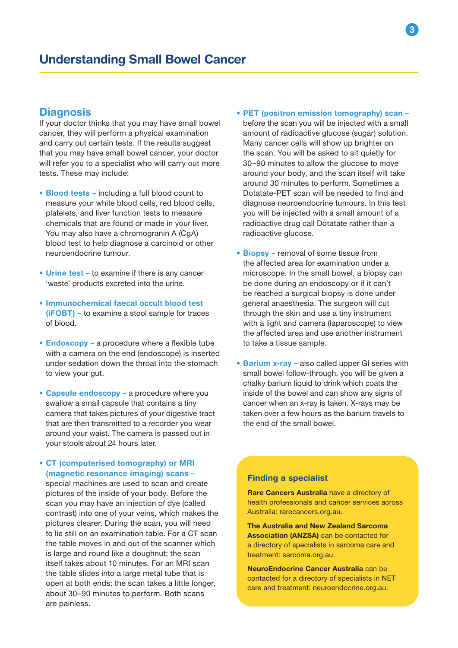## **Diagnosis**

If your doctor thinks that you may have small bowel cancer, they will perform a physical examination and carry out certain tests. If the results suggest that you may have small bowel cancer, your doctor will refer you to a specialist who will carry out more tests. These may include:

- Blood tests including a full blood count to measure your white blood cells, red blood cells, platelets, and liver function tests to measure chemicals that are found or made in your liver. You may also have a chromogranin A (CgA) blood test to help diagnose a carcinoid or other neuroendocrine tumour.
- Urine test to examine if there is any cancer 'waste' products excreted into the urine.
- Immunochemical faecal occult blood test (iFOBT) – to examine a stool sample for traces of blood.
- Endoscopy a procedure where a flexible tube with a camera on the end (endoscope) is inserted under sedation down the throat into the stomach to view your gut.
- Capsule endoscopy a procedure where you swallow a small capsule that contains a tiny camera that takes pictures of your digestive tract that are then transmitted to a recorder you wear around your waist. The camera is passed out in your stools about 24 hours later.

## • CT (computerised tomography) or MRI (magnetic resonance imaging) scans – special machines are used to scan and create pictures of the inside of your body. Before the scan you may have an injection of dye (called contrast) into one of your veins, which makes the pictures clearer. During the scan, you will need to lie still on an examination table. For a CT scan the table moves in and out of the scanner which is large and round like a doughnut; the scan itself takes about 10 minutes. For an MRI scan the table slides into a large metal tube that is open at both ends; the scan takes a little longer, about 30–90 minutes to perform. Both scans are painless.

- PET (positron emission tomography) scan before the scan you will be injected with a small amount of radioactive glucose (sugar) solution. Many cancer cells will show up brighter on the scan. You will be asked to sit quietly for 30–90 minutes to allow the glucose to move around your body, and the scan itself will take around 30 minutes to perform. Sometimes a Dotatate-PET scan will be needed to find and diagnose neuroendocrine tumours. In this test you will be injected with a small amount of a radioactive drug call Dotatate rather than a radioactive glucose.
- Biopsy removal of some tissue from the affected area for examination under a microscope. In the small bowel, a biopsy can be done during an endoscopy or if it can't be reached a surgical biopsy is done under general anaesthesia. The surgeon will cut through the skin and use a tiny instrument with a light and camera (laparoscope) to view the affected area and use another instrument to take a tissue sample.
- Barium x-ray also called upper GI series with small bowel follow-through, you will be given a chalky barium liquid to drink which coats the inside of the bowel and can show any signs of cancer when an x-ray is taken. X-rays may be taken over a few hours as the barium travels to the end of the small bowel.

### Finding a specialist

Rare Cancers Australia have a directory of health professionals and cancer services across Australia: rarecancers.org.au.

The Australia and New Zealand Sarcoma Association (ANZSA) can be contacted for a directory of specialists in sarcoma care and treatment: sarcoma.org.au.

NeuroEndocrine Cancer Australia can be contacted for a directory of specialists in NET care and treatment: neuroendocrine.org.au.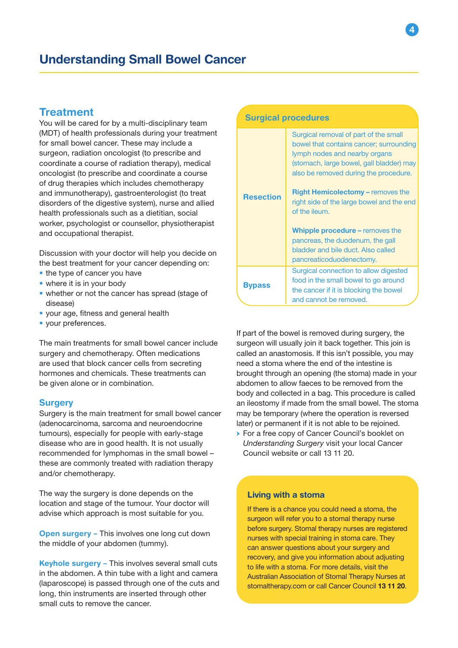## **Treatment**

You will be cared for by a multi-disciplinary team (MDT) of health professionals during your treatment for small bowel cancer. These may include a surgeon, radiation oncologist (to prescribe and coordinate a course of radiation therapy), medical oncologist (to prescribe and coordinate a course of drug therapies which includes chemotherapy and immunotherapy), gastroenterologist (to treat disorders of the digestive system), nurse and allied health professionals such as a dietitian, social worker, psychologist or counsellor, physiotherapist and occupational therapist.

Discussion with your doctor will help you decide on the best treatment for your cancer depending on:

- the type of cancer you have
- where it is in your body
- whether or not the cancer has spread (stage of disease)
- your age, fitness and general health
- your preferences.

The main treatments for small bowel cancer include surgery and chemotherapy. Often medications are used that block cancer cells from secreting hormones and chemicals. These treatments can be given alone or in combination.

#### **Surgery**

Surgery is the main treatment for small bowel cancer (adenocarcinoma, sarcoma and neuroendocrine tumours), especially for people with early-stage disease who are in good health. It is not usually recommended for lymphomas in the small bowel – these are commonly treated with radiation therapy and/or chemotherapy.

The way the surgery is done depends on the location and stage of the tumour. Your doctor will advise which approach is most suitable for you.

**Open surgery - This involves one long cut down** the middle of your abdomen (tummy).

Keyhole surgery - This involves several small cuts in the abdomen. A thin tube with a light and camera (laparoscope) is passed through one of the cuts and long, thin instruments are inserted through other small cuts to remove the cancer.

| <b>Surgical procedures</b> |                                                                                                                                                                                                                                                                                                                                                                                                                                                           |  |
|----------------------------|-----------------------------------------------------------------------------------------------------------------------------------------------------------------------------------------------------------------------------------------------------------------------------------------------------------------------------------------------------------------------------------------------------------------------------------------------------------|--|
| <b>Resection</b>           | Surgical removal of part of the small<br>bowel that contains cancer; surrounding<br>lymph nodes and nearby organs<br>(stomach, large bowel, gall bladder) may<br>also be removed during the procedure.<br>Right Hemicolectomy - removes the<br>right side of the large bowel and the end<br>of the ileum.<br><b>Whipple procedure - removes the</b><br>pancreas, the duodenum, the gall<br>bladder and bile duct. Also called<br>pancreaticoduodenectomy. |  |
| <b>Bypass</b>              | Surgical connection to allow digested<br>food in the small bowel to go around<br>the cancer if it is blocking the bowel<br>and cannot be removed.                                                                                                                                                                                                                                                                                                         |  |

If part of the bowel is removed during surgery, the surgeon will usually join it back together. This join is called an anastomosis. If this isn't possible, you may need a stoma where the end of the intestine is brought through an opening (the stoma) made in your abdomen to allow faeces to be removed from the body and collected in a bag. This procedure is called an ileostomy if made from the small bowel. The stoma may be temporary (where the operation is reversed later) or permanent if it is not able to be rejoined.

→ For a free copy of Cancer Council's booklet on *Understanding Surgery* visit your local Cancer Council website or call 13 11 20.

#### Living with a stoma

If there is a chance you could need a stoma, the surgeon will refer you to a stomal therapy nurse before surgery. Stomal therapy nurses are registered nurses with special training in stoma care. They can answer questions about your surgery and recovery, and give you information about adjusting to life with a stoma. For more details, visit the Australian Association of Stomal Therapy Nurses at stomaltherapy.com or call Cancer Council 13 11 20.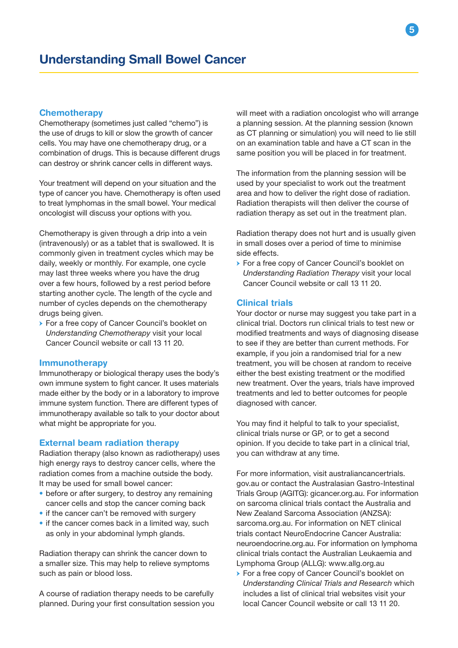#### **Chemotherapy**

Chemotherapy (sometimes just called "chemo") is the use of drugs to kill or slow the growth of cancer cells. You may have one chemotherapy drug, or a combination of drugs. This is because different drugs can destroy or shrink cancer cells in different ways.

Your treatment will depend on your situation and the type of cancer you have. Chemotherapy is often used to treat lymphomas in the small bowel. Your medical oncologist will discuss your options with you.

Chemotherapy is given through a drip into a vein (intravenously) or as a tablet that is swallowed. It is commonly given in treatment cycles which may be daily, weekly or monthly. For example, one cycle may last three weeks where you have the drug over a few hours, followed by a rest period before starting another cycle. The length of the cycle and number of cycles depends on the chemotherapy drugs being given.

→ For a free copy of Cancer Council's booklet on *Understanding Chemotherapy* visit your local Cancer Council website or call 13 11 20.

#### Immunotherapy

Immunotherapy or biological therapy uses the body's own immune system to fight cancer. It uses materials made either by the body or in a laboratory to improve immune system function. There are different types of immunotherapy available so talk to your doctor about what might be appropriate for you.

#### External beam radiation therapy

Radiation therapy (also known as radiotherapy) uses high energy rays to destroy cancer cells, where the radiation comes from a machine outside the body. It may be used for small bowel cancer:

- before or after surgery, to destroy any remaining cancer cells and stop the cancer coming back
- if the cancer can't be removed with surgery
- if the cancer comes back in a limited way, such as only in your abdominal lymph glands.

Radiation therapy can shrink the cancer down to a smaller size. This may help to relieve symptoms such as pain or blood loss.

A course of radiation therapy needs to be carefully planned. During your first consultation session you will meet with a radiation oncologist who will arrange a planning session. At the planning session (known as CT planning or simulation) you will need to lie still on an examination table and have a CT scan in the same position you will be placed in for treatment.

The information from the planning session will be used by your specialist to work out the treatment area and how to deliver the right dose of radiation. Radiation therapists will then deliver the course of radiation therapy as set out in the treatment plan.

Radiation therapy does not hurt and is usually given in small doses over a period of time to minimise side effects.

→ For a free copy of Cancer Council's booklet on *Understanding Radiation Therapy* visit your local Cancer Council website or call 13 11 20.

#### Clinical trials

Your doctor or nurse may suggest you take part in a clinical trial. Doctors run clinical trials to test new or modified treatments and ways of diagnosing disease to see if they are better than current methods. For example, if you join a randomised trial for a new treatment, you will be chosen at random to receive either the best existing treatment or the modified new treatment. Over the years, trials have improved treatments and led to better outcomes for people diagnosed with cancer.

You may find it helpful to talk to your specialist, clinical trials nurse or GP, or to get a second opinion. If you decide to take part in a clinical trial, you can withdraw at any time.

For more information, visit australiancancertrials. gov.au or contact the Australasian Gastro-Intestinal Trials Group (AGITG): gicancer.org.au. For information on sarcoma clinical trials contact the Australia and New Zealand Sarcoma Association (ANZSA): sarcoma.org.au. For information on NET clinical trials contact NeuroEndocrine Cancer Australia: neuroendocrine.org.au. For information on lymphoma clinical trials contact the Australian Leukaemia and Lymphoma Group (ALLG): www.allg.org.au

→ For a free copy of Cancer Council's booklet on *Understanding Clinical Trials and Research* which includes a list of clinical trial websites visit your local Cancer Council website or call 13 11 20.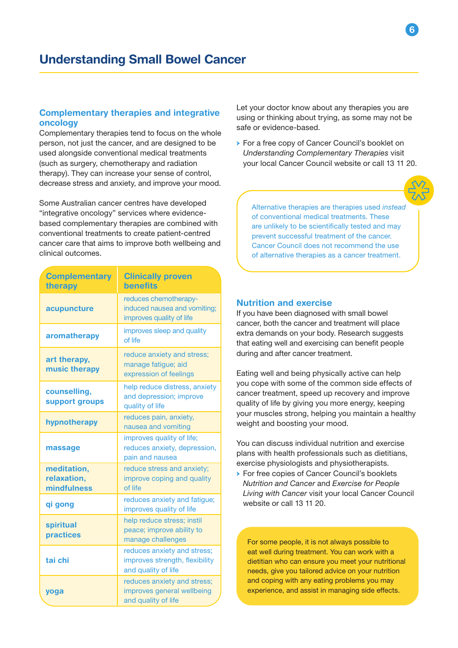### Complementary therapies and integrative oncology

Complementary therapies tend to focus on the whole person, not just the cancer, and are designed to be used alongside conventional medical treatments (such as surgery, chemotherapy and radiation therapy). They can increase your sense of control, decrease stress and anxiety, and improve your mood.

Some Australian cancer centres have developed "integrative oncology" services where evidencebased complementary therapies are combined with conventional treatments to create patient-centred cancer care that aims to improve both wellbeing and clinical outcomes.

| <b>Complementary</b><br>therapy           | <b>Clinically proven</b><br><b>benefits</b>                                          |
|-------------------------------------------|--------------------------------------------------------------------------------------|
| acupuncture                               | reduces chemotherapy-<br>induced nausea and vomiting;<br>improves quality of life    |
| aromatherapy                              | improves sleep and quality<br>of life                                                |
| art therapy,<br>music therapy             | reduce anxiety and stress;<br>manage fatigue; aid<br>expression of feelings          |
| counselling,<br>support groups            | help reduce distress, anxiety<br>and depression; improve<br>quality of life          |
| hypnotherapy                              | reduces pain, anxiety,<br>nausea and vomiting                                        |
| massage                                   | improves quality of life;<br>reduces anxiety, depression,<br>pain and nausea         |
| meditation,<br>relaxation,<br>mindfulness | reduce stress and anxiety;<br>improve coping and quality<br>of life                  |
| qi gong                                   | reduces anxiety and fatigue;<br>improves quality of life                             |
| spiritual<br>practices                    | help reduce stress; instil<br>peace; improve ability to<br>manage challenges         |
| tai chi                                   | reduces anxiety and stress;<br>improves strength, flexibility<br>and quality of life |
| yoga                                      | reduces anxiety and stress;<br>improves general wellbeing<br>and quality of life     |

Let your doctor know about any therapies you are using or thinking about trying, as some may not be safe or evidence-based.

→ For a free copy of Cancer Council's booklet on *Understanding Complementary Therapies* visit your local Cancer Council website or call 13 11 20.



6

Alternative therapies are therapies used *instead* of conventional medical treatments. These are unlikely to be scientifically tested and may prevent successful treatment of the cancer. Cancer Council does not recommend the use of alternative therapies as a cancer treatment.

#### Nutrition and exercise

If you have been diagnosed with small bowel cancer, both the cancer and treatment will place extra demands on your body. Research suggests that eating well and exercising can benefit people during and after cancer treatment.

Eating well and being physically active can help you cope with some of the common side effects of cancer treatment, speed up recovery and improve quality of life by giving you more energy, keeping your muscles strong, helping you maintain a healthy weight and boosting your mood.

You can discuss individual nutrition and exercise plans with health professionals such as dietitians, exercise physiologists and physiotherapists.

→ For free copies of Cancer Council's booklets *Nutrition and Cancer* and *Exercise for People Living with Cancer* visit your local Cancer Council website or call 13 11 20.

For some people, it is not always possible to eat well during treatment. You can work with a dietitian who can ensure you meet your nutritional needs, give you tailored advice on your nutrition and coping with any eating problems you may experience, and assist in managing side effects.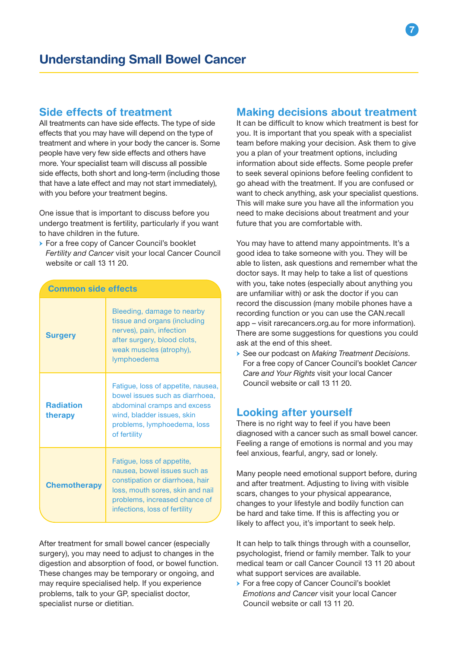## Side effects of treatment

All treatments can have side effects. The type of side effects that you may have will depend on the type of treatment and where in your body the cancer is. Some people have very few side effects and others have more. Your specialist team will discuss all possible side effects, both short and long-term (including those that have a late effect and may not start immediately), with you before your treatment begins.

One issue that is important to discuss before you undergo treatment is fertility, particularly if you want to have children in the future.

→ For a free copy of Cancer Council's booklet *Fertility and Cancer* visit your local Cancer Council website or call 13 11 20.

| <b>Common side effects</b>  |                                                                                                                                                                                                     |  |
|-----------------------------|-----------------------------------------------------------------------------------------------------------------------------------------------------------------------------------------------------|--|
| <b>Surgery</b>              | Bleeding, damage to nearby<br>tissue and organs (including<br>nerves), pain, infection<br>after surgery, blood clots,<br>weak muscles (atrophy),<br>lymphoedema                                     |  |
| <b>Radiation</b><br>therapy | Fatigue, loss of appetite, nausea,<br>bowel issues such as diarrhoea.<br>abdominal cramps and excess<br>wind, bladder issues, skin<br>problems, lymphoedema, loss<br>of fertility                   |  |
| <b>Chemotherapy</b>         | Fatigue, loss of appetite,<br>nausea, bowel issues such as<br>constipation or diarrhoea, hair<br>loss, mouth sores, skin and nail<br>problems, increased chance of<br>infections, loss of fertility |  |

After treatment for small bowel cancer (especially surgery), you may need to adjust to changes in the digestion and absorption of food, or bowel function. These changes may be temporary or ongoing, and may require specialised help. If you experience problems, talk to your GP, specialist doctor, specialist nurse or dietitian.

## Making decisions about treatment

It can be difficult to know which treatment is best for you. It is important that you speak with a specialist team before making your decision. Ask them to give you a plan of your treatment options, including information about side effects. Some people prefer to seek several opinions before feeling confident to go ahead with the treatment. If you are confused or want to check anything, ask your specialist questions. This will make sure you have all the information you need to make decisions about treatment and your future that you are comfortable with.

You may have to attend many appointments. It's a good idea to take someone with you. They will be able to listen, ask questions and remember what the doctor says. It may help to take a list of questions with you, take notes (especially about anything you are unfamiliar with) or ask the doctor if you can record the discussion (many mobile phones have a recording function or you can use the CAN.recall app – visit rarecancers.org.au for more information). There are some suggestions for questions you could ask at the end of this sheet.

→ See our podcast on *Making Treatment Decisions*. For a free copy of Cancer Council's booklet *Cancer Care and Your Rights* visit your local Cancer Council website or call 13 11 20.

## Looking after yourself

There is no right way to feel if you have been diagnosed with a cancer such as small bowel cancer. Feeling a range of emotions is normal and you may feel anxious, fearful, angry, sad or lonely.

Many people need emotional support before, during and after treatment. Adjusting to living with visible scars, changes to your physical appearance, changes to your lifestyle and bodily function can be hard and take time. If this is affecting you or likely to affect you, it's important to seek help.

It can help to talk things through with a counsellor, psychologist, friend or family member. Talk to your medical team or call Cancer Council 13 11 20 about what support services are available.

→ For a free copy of Cancer Council's booklet *Emotions and Cancer* visit your local Cancer Council website or call 13 11 20.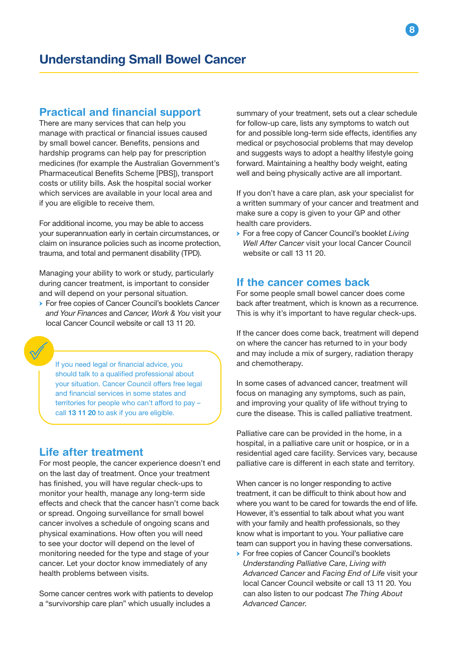## Practical and financial support

There are many services that can help you manage with practical or financial issues caused by small bowel cancer. Benefits, pensions and hardship programs can help pay for prescription medicines (for example the Australian Government's Pharmaceutical Benefits Scheme [PBS]), transport costs or utility bills. Ask the hospital social worker which services are available in your local area and if you are eligible to receive them.

For additional income, you may be able to access your superannuation early in certain circumstances, or claim on insurance policies such as income protection, trauma, and total and permanent disability (TPD).

Managing your ability to work or study, particularly during cancer treatment, is important to consider and will depend on your personal situation.

→ For free copies of Cancer Council's booklets *Cancer and Your Finances* and *Cancer, Work & You* visit your local Cancer Council website or call 13 11 20.



If you need legal or financial advice, you should talk to a qualified professional about your situation. Cancer Council offers free legal and financial services in some states and territories for people who can't afford to pay – call 13 11 20 to ask if you are eligible.

## Life after treatment

For most people, the cancer experience doesn't end on the last day of treatment. Once your treatment has finished, you will have regular check-ups to monitor your health, manage any long-term side effects and check that the cancer hasn't come back or spread. Ongoing surveillance for small bowel cancer involves a schedule of ongoing scans and physical examinations. How often you will need to see your doctor will depend on the level of monitoring needed for the type and stage of your cancer. Let your doctor know immediately of any health problems between visits.

Some cancer centres work with patients to develop a "survivorship care plan" which usually includes a

summary of your treatment, sets out a clear schedule for follow-up care, lists any symptoms to watch out for and possible long-term side effects, identifies any medical or psychosocial problems that may develop and suggests ways to adopt a healthy lifestyle going forward. Maintaining a healthy body weight, eating well and being physically active are all important.

If you don't have a care plan, ask your specialist for a written summary of your cancer and treatment and make sure a copy is given to your GP and other health care providers.

→ For a free copy of Cancer Council's booklet *Living Well After Cancer* visit your local Cancer Council website or call 13 11 20.

## If the cancer comes back

For some people small bowel cancer does come back after treatment, which is known as a recurrence. This is why it's important to have regular check-ups.

If the cancer does come back, treatment will depend on where the cancer has returned to in your body and may include a mix of surgery, radiation therapy and chemotherapy.

In some cases of advanced cancer, treatment will focus on managing any symptoms, such as pain, and improving your quality of life without trying to cure the disease. This is called palliative treatment.

Palliative care can be provided in the home, in a hospital, in a palliative care unit or hospice, or in a residential aged care facility. Services vary, because palliative care is different in each state and territory.

When cancer is no longer responding to active treatment, it can be difficult to think about how and where you want to be cared for towards the end of life. However, it's essential to talk about what you want with your family and health professionals, so they know what is important to you. Your palliative care team can support you in having these conversations.

→ For free copies of Cancer Council's booklets *Understanding Palliative Care*, *Living with Advanced Cancer* and *Facing End of Life* visit your local Cancer Council website or call 13 11 20. You can also listen to our podcast *The Thing About Advanced Cancer*.